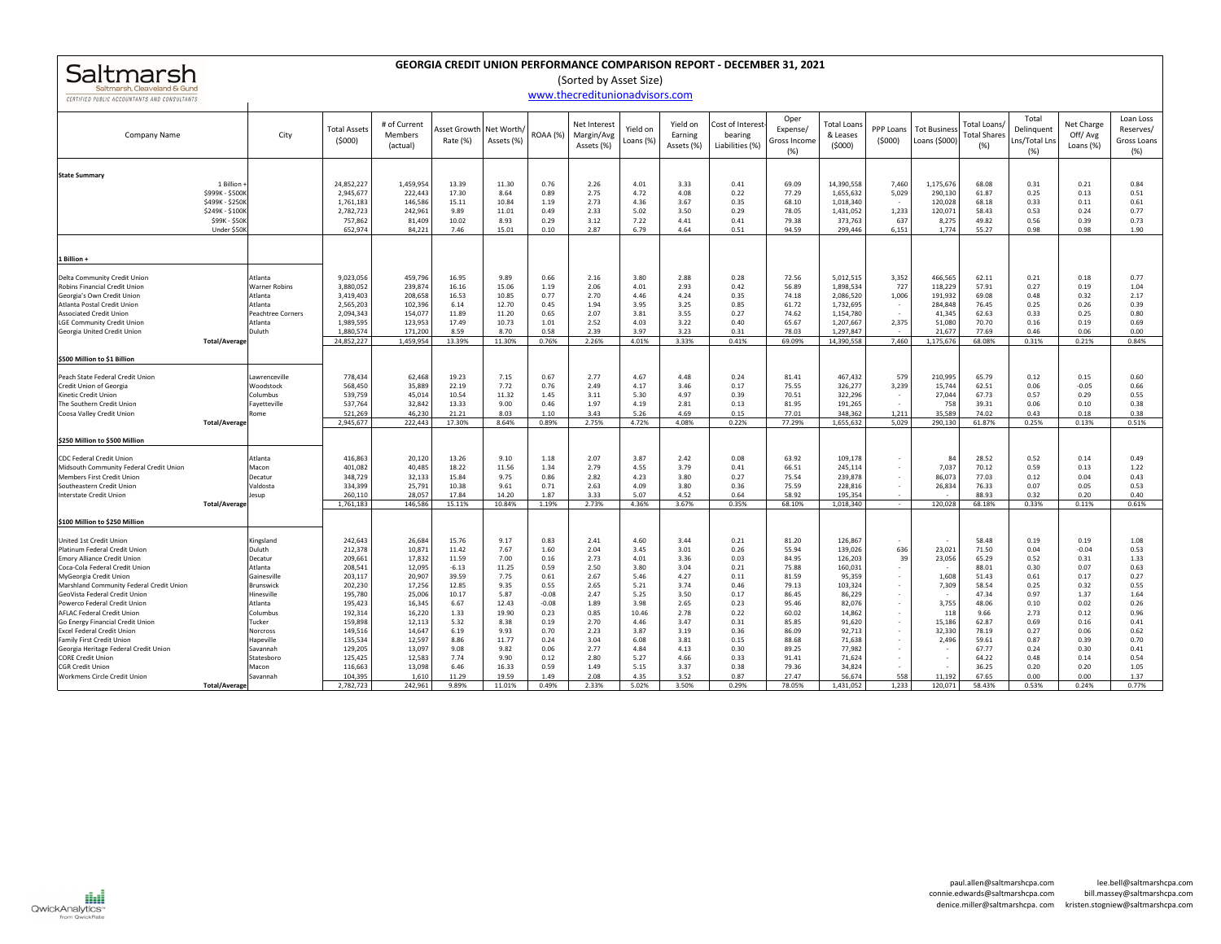| Saltmarsh                    |
|------------------------------|
| Saltmarsh, Cleaveland & Gund |

## **GEORGIA CREDIT UNION PERFORMANCE COMPARISON REPORT ‐ DECEMBER 31, 2021**

(Sorted by Asset Size)

## CERTIFIED PUBLIC ACCOUNTANTS AND CONSULTANTS

|--|

| CERTIFIED PUBLIC ACCOUNTANTS AND CONSULTANTS                                                                                                                                                                                                                                                                                                                                                                                                                                                                                         |                                                                                                                                                                                              |                                                                                                                                                                              |                                                                                                                                                             |                                                                                                                                        |                                                                                                                                    |                                                                                                                                    | <u>www.thecreditumonauvisors.com</u>                                                                                         |                                                                                                                               |                                                                                                                              |                                                                                                                              |                                                                                                                                              |                                                                                                                                                                   |                                                                    |                                                                                                               |                                                                                                                                             |                                                                                                                              |                                                                                                                                 |                                                                                                                              |
|--------------------------------------------------------------------------------------------------------------------------------------------------------------------------------------------------------------------------------------------------------------------------------------------------------------------------------------------------------------------------------------------------------------------------------------------------------------------------------------------------------------------------------------|----------------------------------------------------------------------------------------------------------------------------------------------------------------------------------------------|------------------------------------------------------------------------------------------------------------------------------------------------------------------------------|-------------------------------------------------------------------------------------------------------------------------------------------------------------|----------------------------------------------------------------------------------------------------------------------------------------|------------------------------------------------------------------------------------------------------------------------------------|------------------------------------------------------------------------------------------------------------------------------------|------------------------------------------------------------------------------------------------------------------------------|-------------------------------------------------------------------------------------------------------------------------------|------------------------------------------------------------------------------------------------------------------------------|------------------------------------------------------------------------------------------------------------------------------|----------------------------------------------------------------------------------------------------------------------------------------------|-------------------------------------------------------------------------------------------------------------------------------------------------------------------|--------------------------------------------------------------------|---------------------------------------------------------------------------------------------------------------|---------------------------------------------------------------------------------------------------------------------------------------------|------------------------------------------------------------------------------------------------------------------------------|---------------------------------------------------------------------------------------------------------------------------------|------------------------------------------------------------------------------------------------------------------------------|
| Company Name                                                                                                                                                                                                                                                                                                                                                                                                                                                                                                                         | City                                                                                                                                                                                         | <b>Total Assets</b><br>(5000)                                                                                                                                                | # of Current<br>Members<br>(actual)                                                                                                                         | Rate (%)                                                                                                                               | Asset Growth Net Worth/<br>Assets (%)                                                                                              | ROAA (%)                                                                                                                           | Net Interest<br>Margin/Avg<br>Assets (%)                                                                                     | Yield on<br>Loans (%)                                                                                                         | Yield on<br>Earning<br>Assets (%)                                                                                            | Cost of Interest<br>bearing<br>Liabilities (%)                                                                               | Oper<br>Expense/<br>Gross Income<br>(%)                                                                                                      | <b>Total Loans</b><br>& Leases<br>(5000)                                                                                                                          | PPP Loans<br>(5000)                                                | <b>Tot Business</b><br>Loans (\$000)                                                                          | Fotal Loans/<br><b>Total Shares</b><br>(%)                                                                                                  | Total<br>Delinquent<br>ns/Total Ln:<br>(%)                                                                                   | Net Charge<br>Off/Avg<br>Loans (%)                                                                                              | Loan Loss<br>Reserves/<br>Gross Loans<br>(%)                                                                                 |
| <b>State Summary</b><br>1 Billion<br>\$999K - \$500K<br>\$499K - \$250K<br>\$249K - \$100K<br>\$99K - \$50K<br>Under \$50K                                                                                                                                                                                                                                                                                                                                                                                                           |                                                                                                                                                                                              | 24,852,227<br>2,945,677<br>1,761,183<br>2,782,723<br>757,862<br>652,974                                                                                                      | 1,459,954<br>222,443<br>146,586<br>242,961<br>81,409<br>84,221                                                                                              | 13.39<br>17.30<br>15.11<br>9.89<br>10.02<br>7.46                                                                                       | 11.30<br>8.64<br>10.84<br>11.01<br>8.93<br>15.01                                                                                   | 0.76<br>0.89<br>1.19<br>0.49<br>0.29<br>0.10                                                                                       | 2.26<br>2.75<br>2.73<br>2.33<br>3.12<br>2.87                                                                                 | 4.01<br>4.72<br>4.36<br>5.02<br>7.22<br>6.79                                                                                  | 3.33<br>4.08<br>3.67<br>3.50<br>4.41<br>4.64                                                                                 | 0.41<br>0.22<br>0.35<br>0.29<br>0.41<br>0.51                                                                                 | 69.09<br>77.29<br>68.10<br>78.05<br>79.38<br>94.59                                                                                           | 14,390,558<br>1,655,632<br>1,018,340<br>1,431,052<br>373,763<br>299,446                                                                                           | 7,460<br>5,029<br>1,233<br>637<br>6,151                            | 1,175,676<br>290,130<br>120,028<br>120,071<br>8,275<br>1,774                                                  | 68.08<br>61.87<br>68.18<br>58.43<br>49.82<br>55.27                                                                                          | 0.31<br>0.25<br>0.33<br>0.53<br>0.56<br>0.98                                                                                 | 0.21<br>0.13<br>0.11<br>0.24<br>0.39<br>0.98                                                                                    | 0.84<br>0.51<br>0.61<br>0.77<br>0.73<br>1.90                                                                                 |
| 1 Billion +<br>Delta Community Credit Unior<br>Robins Financial Credit Union<br>Georgia's Own Credit Union<br>Atlanta Postal Credit Union<br><b>Associated Credit Union</b><br><b>LGE Community Credit Union</b><br>Georgia United Credit Union<br><b>Total/Average</b>                                                                                                                                                                                                                                                              | Atlanta<br>Warner Robins<br>Atlanta<br>Atlanta<br>Peachtree Corners<br>Atlanta<br>Duluth                                                                                                     | 9,023,056<br>3,880,052<br>3,419,403<br>2,565,203<br>2,094,343<br>1,989,595<br>1,880,574<br>24,852,227                                                                        | 459,796<br>239,874<br>208,658<br>102,396<br>154,077<br>123,953<br>171,200<br>1,459,954                                                                      | 16.95<br>16.16<br>16.53<br>6.14<br>11.89<br>17.49<br>8.59<br>13.39%                                                                    | 9.89<br>15.06<br>10.85<br>12.70<br>11.20<br>10.73<br>8.70<br>11.30%                                                                | 0.66<br>1.19<br>0.77<br>0.45<br>0.65<br>1.01<br>0.58<br>0.76%                                                                      | 2.16<br>2.06<br>2.70<br>1.94<br>2.07<br>2.52<br>2.39<br>2.26%                                                                | 3.80<br>4.01<br>4.46<br>3.95<br>3.81<br>4.03<br>3.97<br>4.01%                                                                 | 2.88<br>2.93<br>4.24<br>3.25<br>3.55<br>3.22<br>3.23<br>3.33%                                                                | 0.28<br>0.42<br>0.35<br>0.85<br>0.27<br>0.40<br>0.31<br>0.41%                                                                | 72.56<br>56.89<br>74.18<br>61.72<br>74.62<br>65.67<br>78.03<br>69.09%                                                                        | 5,012,515<br>1,898,534<br>2,086,520<br>1,732,695<br>1,154,780<br>1,207,667<br>1,297,847<br>14,390,558                                                             | 3,352<br>727<br>1,006<br>$\sim$<br>$\sim$<br>2,375<br>7,460        | 466,565<br>118,229<br>191,932<br>284,848<br>41,345<br>51,080<br>21,677<br>1,175,676                           | 62.11<br>57.91<br>69.08<br>76.45<br>62.63<br>70.70<br>77.69<br>68.08%                                                                       | 0.21<br>0.27<br>0.48<br>0.25<br>0.33<br>0.16<br>0.46<br>0.31%                                                                | 0.18<br>0.19<br>0.32<br>0.26<br>0.25<br>0.19<br>0.06<br>0.21%                                                                   | 0.77<br>1.04<br>2.17<br>0.39<br>0.80<br>0.69<br>0.00<br>0.84%                                                                |
| \$500 Million to \$1 Billion<br>Peach State Federal Credit Union<br>Credit Union of Georgia<br>Kinetic Credit Union<br>The Southern Credit Union<br>Coosa Valley Credit Union<br><b>Total/Average</b><br>\$250 Million to \$500 Million                                                                                                                                                                                                                                                                                              | Lawrenceville<br>Woodstock<br>Columbus<br>Fayetteville<br>Rome                                                                                                                               | 778,434<br>568,450<br>539,759<br>537,764<br>521,269<br>2,945,677                                                                                                             | 62,468<br>35,889<br>45,014<br>32,842<br>46,230<br>222,443                                                                                                   | 19.23<br>22.19<br>10.54<br>13.33<br>21.21<br>17.30%                                                                                    | 7.15<br>7.72<br>11.32<br>9.00<br>8.03<br>8.64%                                                                                     | 0.67<br>0.76<br>1.45<br>0.46<br>1.10<br>0.89%                                                                                      | 2.77<br>2.49<br>3.11<br>1.97<br>3.43<br>2.75%                                                                                | 4.67<br>4.17<br>5.30<br>4.19<br>5.26<br>4.72%                                                                                 | 4.48<br>3.46<br>4.97<br>2.81<br>4.69<br>4.08%                                                                                | 0.24<br>0.17<br>0.39<br>0.13<br>0.15<br>0.22%                                                                                | 81.41<br>75.55<br>70.51<br>81.95<br>77.01<br>77.29%                                                                                          | 467,432<br>326,277<br>322,296<br>191,265<br>348,362<br>1,655,632                                                                                                  | 579<br>3,239<br>$\sim$<br>1,211<br>5,029                           | 210,995<br>15,744<br>27,044<br>758<br>35,589<br>290,130                                                       | 65.79<br>62.51<br>67.73<br>39.31<br>74.02<br>61.87%                                                                                         | 0.12<br>0.06<br>0.57<br>0.06<br>0.43<br>0.25%                                                                                | 0.15<br>$-0.05$<br>0.29<br>0.10<br>0.18<br>0.13%                                                                                | 0.60<br>0.66<br>0.55<br>0.38<br>0.38<br>0.51%                                                                                |
| CDC Federal Credit Union<br>Midsouth Community Federal Credit Union<br>Members First Credit Unior<br>Southeastern Credit Union<br>Interstate Credit Union<br><b>Total/Average</b><br>\$100 Million to \$250 Million                                                                                                                                                                                                                                                                                                                  | Atlanta<br>Macon<br>Decatur<br>Valdosta<br>Jesup                                                                                                                                             | 416,863<br>401,082<br>348,729<br>334,399<br>260,110<br>1,761,183                                                                                                             | 20,120<br>40,485<br>32,133<br>25,791<br>28,057<br>146,586                                                                                                   | 13.26<br>18.22<br>15.84<br>10.38<br>17.84<br>15.11%                                                                                    | 9.10<br>11.56<br>9.75<br>9.61<br>14.20<br>10.84%                                                                                   | 1.18<br>1.34<br>0.86<br>0.71<br>1.87<br>1.19%                                                                                      | 2.07<br>2.79<br>2.82<br>2.63<br>3.33<br>2.73%                                                                                | 3.87<br>4.55<br>4.23<br>4.09<br>5.07<br>4.36%                                                                                 | 2.42<br>3.79<br>3.80<br>3.80<br>4.52<br>3.67%                                                                                | 0.08<br>0.41<br>0.27<br>0.36<br>0.64<br>0.35%                                                                                | 63.92<br>66.51<br>75.54<br>75.59<br>58.92<br>68.10%                                                                                          | 109,178<br>245,114<br>239,878<br>228,816<br>195,354<br>1,018,340                                                                                                  | $\cdot$<br>$\sim$<br>$\sim$<br>$\sim$                              | 84<br>7,037<br>86,073<br>26,834<br>120,028                                                                    | 28.52<br>70.12<br>77.03<br>76.33<br>88.93<br>68.18%                                                                                         | 0.52<br>0.59<br>0.12<br>0.07<br>0.32<br>0.33%                                                                                | 0.14<br>0.13<br>0.04<br>0.05<br>0.20<br>0.11%                                                                                   | 0.49<br>1.22<br>0.43<br>0.53<br>0.40<br>0.61%                                                                                |
| United 1st Credit Union<br>Platinum Federal Credit Union<br>Emory Alliance Credit Union<br>Coca-Cola Federal Credit Union<br>MyGeorgia Credit Union<br>Marshland Community Federal Credit Union<br>GeoVista Federal Credit Union<br>Powerco Federal Credit Union<br>AFLAC Federal Credit Union<br>Go Energy Financial Credit Union<br><b>Excel Federal Credit Union</b><br>Family First Credit Union<br>Georgia Heritage Federal Credit Union<br><b>CORE Credit Union</b><br><b>CGR Credit Union</b><br>Workmens Circle Credit Union | Kingsland<br>Duluth<br>Decatur<br>Atlanta<br>Gainesville<br>Brunswick<br>Hinesville<br>Atlanta<br>Columbus<br>Tucker<br>Norcross<br>Hapeville<br>Savannah<br>Statesboro<br>Macon<br>Savannah | 242,643<br>212,378<br>209,661<br>208,541<br>203,117<br>202,230<br>195,780<br>195,423<br>192,314<br>159,898<br>149,516<br>135,534<br>129,205<br>125,425<br>116,663<br>104,395 | 26,684<br>10,871<br>17,832<br>12,095<br>20,907<br>17,256<br>25,006<br>16,345<br>16,220<br>12,113<br>14,647<br>12,597<br>13,097<br>12,583<br>13,098<br>1,610 | 15.76<br>11.42<br>11.59<br>$-6.13$<br>39.59<br>12.85<br>10.17<br>6.67<br>1.33<br>5.32<br>6.19<br>8.86<br>9.08<br>7.74<br>6.46<br>11.29 | 9.17<br>7.67<br>7.00<br>11.25<br>7.75<br>9.35<br>5.87<br>12.43<br>19.90<br>8.38<br>9.93<br>11.77<br>9.82<br>9.90<br>16.33<br>19.59 | 0.83<br>1.60<br>0.16<br>0.59<br>0.61<br>0.55<br>$-0.08$<br>$-0.08$<br>0.23<br>0.19<br>0.70<br>0.24<br>0.06<br>0.12<br>0.59<br>1.49 | 2.41<br>2.04<br>2.73<br>2.50<br>2.67<br>2.65<br>2.47<br>1.89<br>0.85<br>2.70<br>2.23<br>3.04<br>2.77<br>2.80<br>1.49<br>2.08 | 4.60<br>3.45<br>4.01<br>3.80<br>5.46<br>5.21<br>5.25<br>3.98<br>10.46<br>4.46<br>3.87<br>6.08<br>4.84<br>5.27<br>5.15<br>4.35 | 3.44<br>3.01<br>3.36<br>3.04<br>4.27<br>3.74<br>3.50<br>2.65<br>2.78<br>3.47<br>3.19<br>3.81<br>4.13<br>4.66<br>3.37<br>3.52 | 0.21<br>0.26<br>0.03<br>0.21<br>0.11<br>0.46<br>0.17<br>0.23<br>0.22<br>0.31<br>0.36<br>0.15<br>0.30<br>0.33<br>0.38<br>0.87 | 81.20<br>55.94<br>84.95<br>75.88<br>81.59<br>79.13<br>86.45<br>95.46<br>60.02<br>85.85<br>86.09<br>88.68<br>89.25<br>91.41<br>79.36<br>27.47 | 126,867<br>139,026<br>126,203<br>160,031<br>95,359<br>103,324<br>86,229<br>82,076<br>14,862<br>91,620<br>92,713<br>71,638<br>77,982<br>71,624<br>34,824<br>56,674 | 636<br>39<br>$\sim$<br>$\sim$<br>$\sim$<br>$\sim$<br>$\sim$<br>558 | 23,021<br>23,056<br>$\sim$<br>1,608<br>7,309<br>3,755<br>118<br>15,186<br>32,330<br>2,496<br>$\sim$<br>11,192 | 58.48<br>71.50<br>65.29<br>88.01<br>51.43<br>58.54<br>47.34<br>48.06<br>9.66<br>62.87<br>78.19<br>59.61<br>67.77<br>64.22<br>36.25<br>67.65 | 0.19<br>0.04<br>0.52<br>0.30<br>0.61<br>0.25<br>0.97<br>0.10<br>2.73<br>0.69<br>0.27<br>0.87<br>0.24<br>0.48<br>0.20<br>0.00 | 0.19<br>$-0.04$<br>0.31<br>0.07<br>0.17<br>0.32<br>1.37<br>0.02<br>0.12<br>0.16<br>0.06<br>0.39<br>0.30<br>0.14<br>0.20<br>0.00 | 1.08<br>0.53<br>1.33<br>0.63<br>0.27<br>0.55<br>1.64<br>0.26<br>0.96<br>0.41<br>0.62<br>0.70<br>0.41<br>0.54<br>1.05<br>1.37 |
| <b>Total/Average</b>                                                                                                                                                                                                                                                                                                                                                                                                                                                                                                                 |                                                                                                                                                                                              | 2,782,723                                                                                                                                                                    | 242,961                                                                                                                                                     | 9.89%                                                                                                                                  | 11.01%                                                                                                                             | 0.49%                                                                                                                              | 2.33%                                                                                                                        | 5.02%                                                                                                                         | 3.50%                                                                                                                        | 0.29%                                                                                                                        | 78.05%                                                                                                                                       | 1,431,052                                                                                                                                                         | 1.233                                                              | 120,071                                                                                                       | 58.43%                                                                                                                                      | 0.53%                                                                                                                        | 0.24%                                                                                                                           | 0.77%                                                                                                                        |